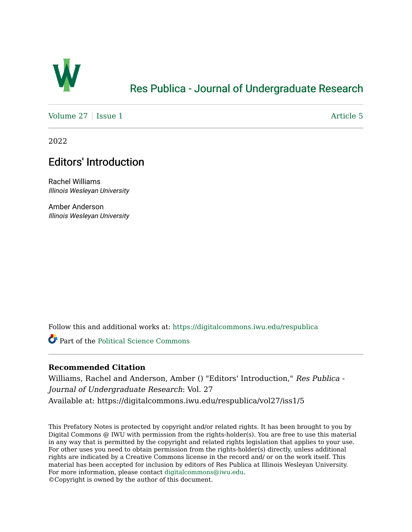

## [Res Publica - Journal of Undergraduate Research](https://digitalcommons.iwu.edu/respublica)

[Volume 27](https://digitalcommons.iwu.edu/respublica/vol27) | [Issue 1](https://digitalcommons.iwu.edu/respublica/vol27/iss1) Article 5

2022

## Editors' Introduction

Rachel Williams Illinois Wesleyan University

Amber Anderson Illinois Wesleyan University

Follow this and additional works at: [https://digitalcommons.iwu.edu/respublica](https://digitalcommons.iwu.edu/respublica?utm_source=digitalcommons.iwu.edu%2Frespublica%2Fvol27%2Fiss1%2F5&utm_medium=PDF&utm_campaign=PDFCoverPages) 

Part of the [Political Science Commons](http://network.bepress.com/hgg/discipline/386?utm_source=digitalcommons.iwu.edu%2Frespublica%2Fvol27%2Fiss1%2F5&utm_medium=PDF&utm_campaign=PDFCoverPages)

## **Recommended Citation**

Williams, Rachel and Anderson, Amber () "Editors' Introduction," Res Publica - Journal of Undergraduate Research: Vol. 27 Available at: https://digitalcommons.iwu.edu/respublica/vol27/iss1/5

This Prefatory Notes is protected by copyright and/or related rights. It has been brought to you by Digital Commons @ IWU with permission from the rights-holder(s). You are free to use this material in any way that is permitted by the copyright and related rights legislation that applies to your use. For other uses you need to obtain permission from the rights-holder(s) directly, unless additional rights are indicated by a Creative Commons license in the record and/ or on the work itself. This material has been accepted for inclusion by editors of Res Publica at Illinois Wesleyan University. For more information, please contact [digitalcommons@iwu.edu](mailto:digitalcommons@iwu.edu). ©Copyright is owned by the author of this document.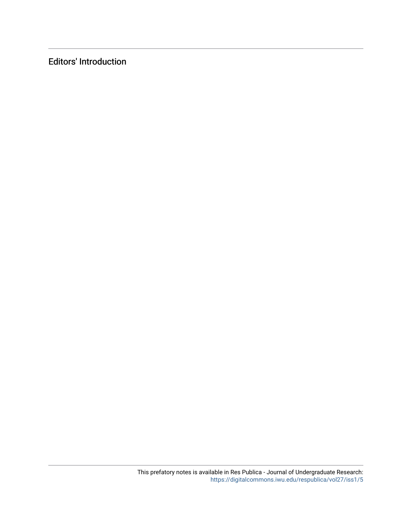Editors' Introduction